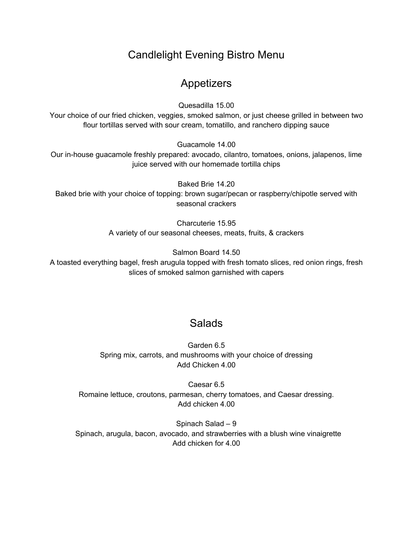## Candlelight Evening Bistro Menu

## Appetizers

Quesadilla 15.00

Your choice of our fried chicken, veggies, smoked salmon, or just cheese grilled in between two flour tortillas served with sour cream, tomatillo, and ranchero dipping sauce

Guacamole 14.00

Our in-house guacamole freshly prepared: avocado, cilantro, tomatoes, onions, jalapenos, lime juice served with our homemade tortilla chips

Baked Brie 14.20 Baked brie with your choice of topping: brown sugar/pecan or raspberry/chipotle served with seasonal crackers

> Charcuterie 15.95 A variety of our seasonal cheeses, meats, fruits, & crackers

> > Salmon Board 14.50

A toasted everything bagel, fresh arugula topped with fresh tomato slices, red onion rings, fresh slices of smoked salmon garnished with capers

## **Salads**

Garden 6.5 Spring mix, carrots, and mushrooms with your choice of dressing Add Chicken 4.00

Caesar 6.5 Romaine lettuce, croutons, parmesan, cherry tomatoes, and Caesar dressing. Add chicken 4.00

Spinach Salad – 9 Spinach, arugula, bacon, avocado, and strawberries with a blush wine vinaigrette Add chicken for 4.00